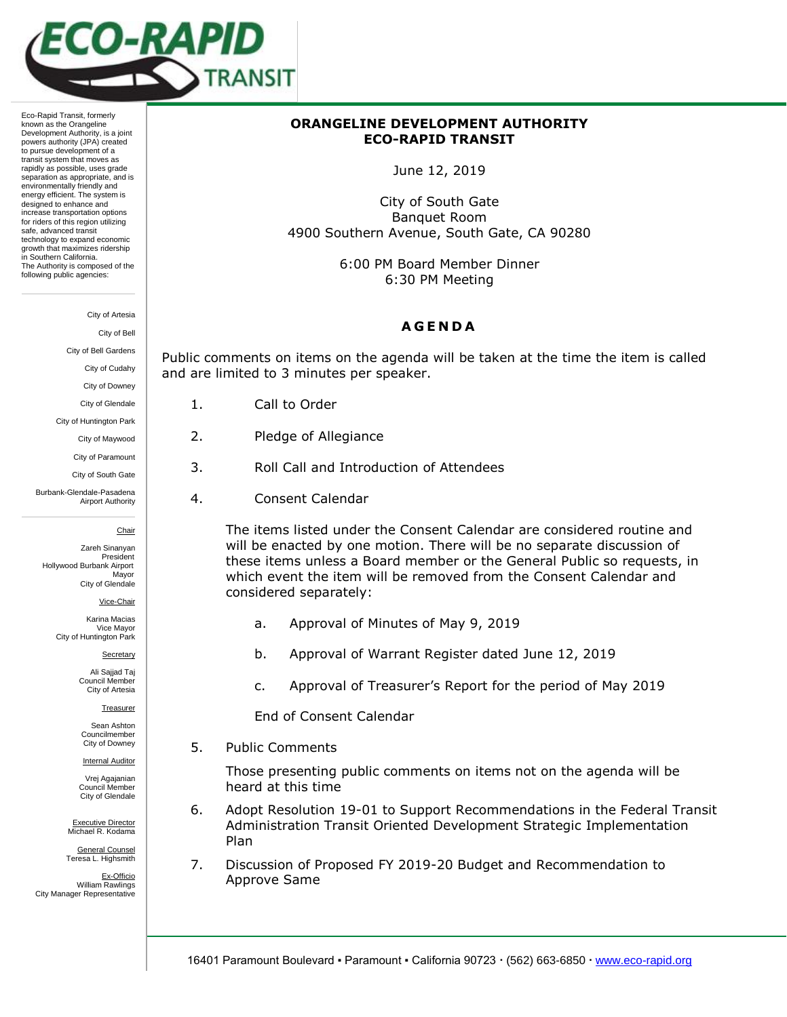

Eco-Rapid Transit, formerly known as the Orangeline Development Authority, is a joint powers authority (JPA) created to pursue development of a transit system that moves as rapidly as possible, uses grade separation as appropriate, and is environmentally friendly and energy efficient. The system is designed to enhance and increase transportation options for riders of this region utilizing safe, advanced transit technology to expand economic growth that maximizes ridership in Southern California. The Authority is composed of the following public agencies:

#### City of Artesia

City of Bell

City of Bell Gardens

City of Cudahy

City of Downey

City of Glendale

City of Huntington Park

City of Maywood

City of Paramount

City of South Gate

Burbank-Glendale-Pasadena Airport Authority

Chair

Zareh Sinanyan President Hollywood Burbank Airport Mayor City of Glendale

Vice-Chair

Karina Macias Vice Mayor City of Huntington Park

Secretary

Ali Sajjad Taj Council Member City of Artesia

**Treasurer** 

Sean Ashton Councilmember City of Downey

**Internal Auditor** 

Vrej Agajanian Council Member City of Glendale

Executive Director Michael R. Kodama

General Counsel Teresa L. Highsmith

Ex-Officio William Rawlings City Manager Representative

# **ORANGELINE DEVELOPMENT AUTHORITY ECO-RAPID TRANSIT**

June 12, 2019

City of South Gate Banquet Room 4900 Southern Avenue, South Gate, CA 90280

> 6:00 PM Board Member Dinner 6:30 PM Meeting

# **A G E N D A**

Public comments on items on the agenda will be taken at the time the item is called and are limited to 3 minutes per speaker.

- 1. Call to Order
- 2. Pledge of Allegiance
- 3. Roll Call and Introduction of Attendees
- 4. Consent Calendar

The items listed under the Consent Calendar are considered routine and will be enacted by one motion. There will be no separate discussion of these items unless a Board member or the General Public so requests, in which event the item will be removed from the Consent Calendar and considered separately:

- a. Approval of Minutes of May 9, 2019
- b. Approval of Warrant Register dated June 12, 2019
- c. Approval of Treasurer's Report for the period of May 2019

End of Consent Calendar

5. Public Comments

Those presenting public comments on items not on the agenda will be heard at this time

- 6. Adopt Resolution 19-01 to Support Recommendations in the Federal Transit Administration Transit Oriented Development Strategic Implementation Plan
- 7. Discussion of Proposed FY 2019-20 Budget and Recommendation to Approve Same